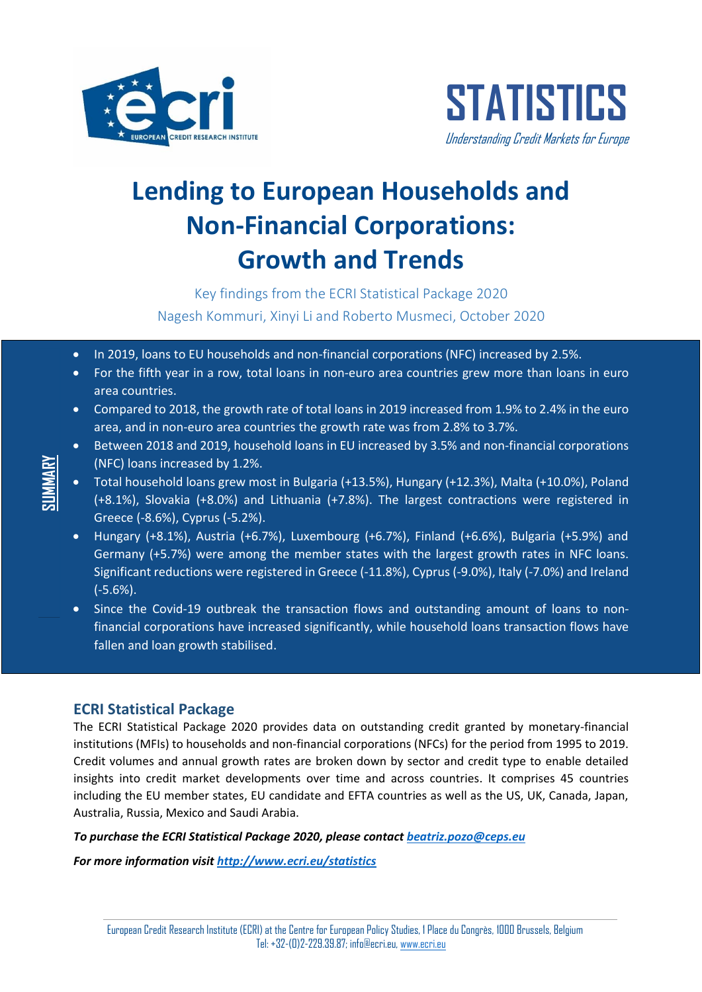



# **Lending to European Households and Non-Financial Corporations: Growth and Trends**

Key findings from the ECRI Statistical Package 2020 Nagesh Kommuri, Xinyi Li and Roberto Musmeci, October 2020

- In 2019, loans to EU households and non-financial corporations (NFC) increased by 2.5%.
- For the fifth year in a row, total loans in non-euro area countries grew more than loans in euro area countries.
- Compared to 2018, the growth rate of total loans in 2019 increased from 1.9% to 2.4% in the euro area, and in non-euro area countries the growth rate was from 2.8% to 3.7%.
- Between 2018 and 2019, household loans in EU increased by 3.5% and non-financial corporations (NFC) loans increased by 1.2%.
- Total household loans grew most in Bulgaria (+13.5%), Hungary (+12.3%), Malta (+10.0%), Poland (+8.1%), Slovakia (+8.0%) and Lithuania (+7.8%). The largest contractions were registered in Greece (-8.6%), Cyprus (-5.2%).
- Hungary (+8.1%), Austria (+6.7%), Luxembourg (+6.7%), Finland (+6.6%), Bulgaria (+5.9%) and Germany (+5.7%) were among the member states with the largest growth rates in NFC loans. Significant reductions were registered in Greece (-11.8%), Cyprus (-9.0%), Italy (-7.0%) and Ireland (-5.6%).
- Since the Covid-19 outbreak the transaction flows and outstanding amount of loans to nonfinancial corporations have increased significantly, while household loans transaction flows have fallen and loan growth stabilised.

## **ECRI Statistical Package**

The ECRI Statistical Package 2020 provides data on outstanding credit granted by monetary-financial institutions (MFIs) to households and non-financial corporations (NFCs) for the period from 1995 to 2019. Credit volumes and annual growth rates are broken down by sector and credit type to enable detailed insights into credit market developments over time and across countries. It comprises 45 countries including the EU member states, EU candidate and EFTA countries as well as the US, UK, Canada, Japan, Australia, Russia, Mexico and Saudi Arabia.

*To purchase the ECRI Statistical Package 2020, please contact [beatriz.pozo@ceps.eu](mailto:beatriz.pozo@ceps.eu)*

*For more information visit<http://www.ecri.eu/statistics>*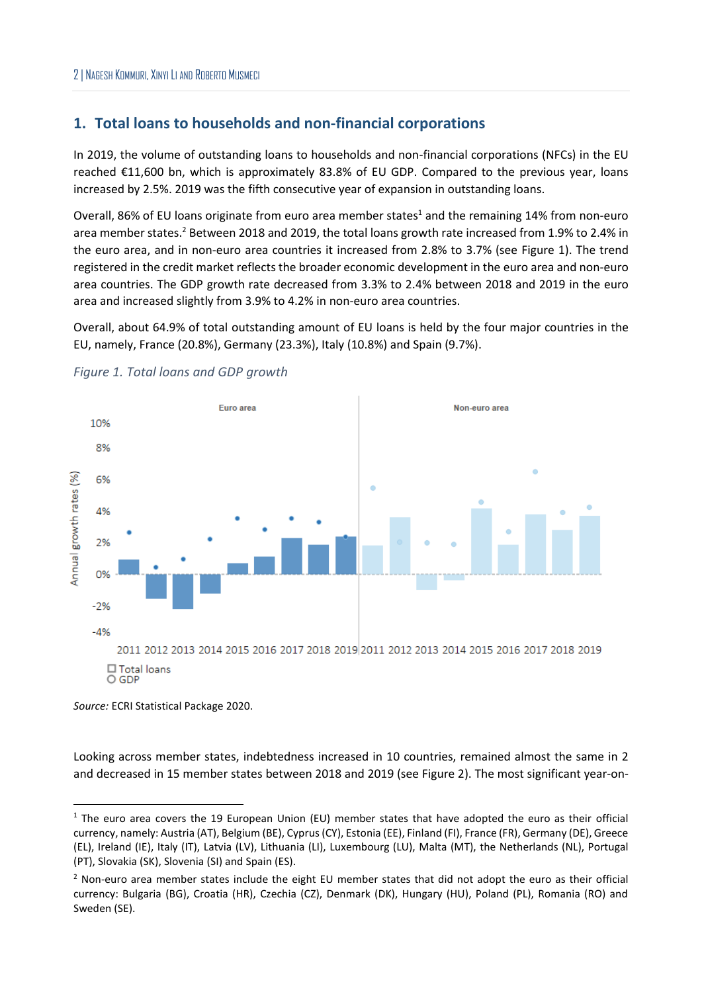## **1. Total loans to households and non-financial corporations**

In 2019, the volume of outstanding loans to households and non-financial corporations (NFCs) in the EU reached €11,600 bn, which is approximately 83.8% of EU GDP. Compared to the previous year, loans increased by 2.5%. 2019 was the fifth consecutive year of expansion in outstanding loans.

Overall, 86% of EU loans originate from euro area member states<sup>1</sup> and the remaining 14% from non-euro area member states.<sup>2</sup> Between 2018 and 2019, the total loans growth rate increased from 1.9% to 2.4% in the euro area, and in non-euro area countries it increased from 2.8% to 3.7% (see [Figure 1\)](#page-1-0). The trend registered in the credit market reflects the broader economic development in the euro area and non-euro area countries. The GDP growth rate decreased from 3.3% to 2.4% between 2018 and 2019 in the euro area and increased slightly from 3.9% to 4.2% in non-euro area countries.

Overall, about 64.9% of total outstanding amount of EU loans is held by the four major countries in the EU, namely, France (20.8%), Germany (23.3%), Italy (10.8%) and Spain (9.7%).



<span id="page-1-0"></span>

*Source:* ECRI Statistical Package 2020.

Looking across member states, indebtedness increased in 10 countries, remained almost the same in 2 and decreased in 15 member states between 2018 and 2019 (see [Figure 2\)](#page-2-0). The most significant year-on-

<sup>&</sup>lt;sup>1</sup> The euro area covers the 19 European Union (EU) member states that have adopted the euro as their official currency, namely: Austria (AT), Belgium (BE), Cyprus(CY), Estonia (EE), Finland (FI), France (FR), Germany (DE), Greece (EL), Ireland (IE), Italy (IT), Latvia (LV), Lithuania (LI), Luxembourg (LU), Malta (MT), the Netherlands (NL), Portugal (PT), Slovakia (SK), Slovenia (SI) and Spain (ES).

<sup>&</sup>lt;sup>2</sup> Non-euro area member states include the eight EU member states that did not adopt the euro as their official currency: Bulgaria (BG), Croatia (HR), Czechia (CZ), Denmark (DK), Hungary (HU), Poland (PL), Romania (RO) and Sweden (SE).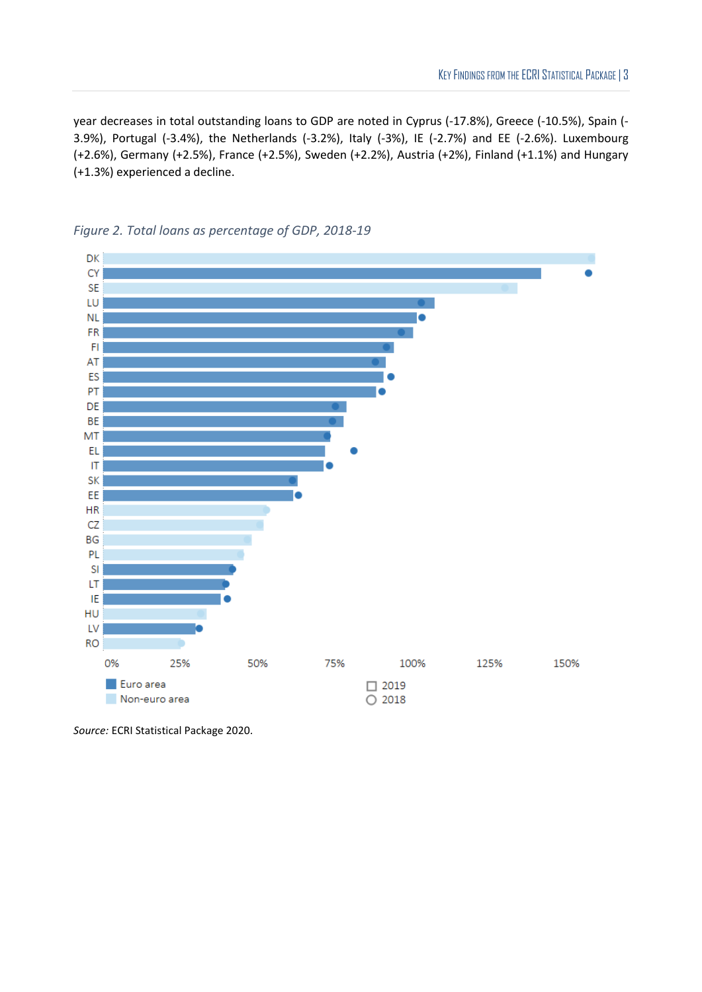year decreases in total outstanding loans to GDP are noted in Cyprus (-17.8%), Greece (-10.5%), Spain (- 3.9%), Portugal (-3.4%), the Netherlands (-3.2%), Italy (-3%), IE (-2.7%) and EE (-2.6%). Luxembourg (+2.6%), Germany (+2.5%), France (+2.5%), Sweden (+2.2%), Austria (+2%), Finland (+1.1%) and Hungary (+1.3%) experienced a decline.



<span id="page-2-0"></span>*Figure 2. Total loans as percentage of GDP, 2018-19*

*Source:* ECRI Statistical Package 2020.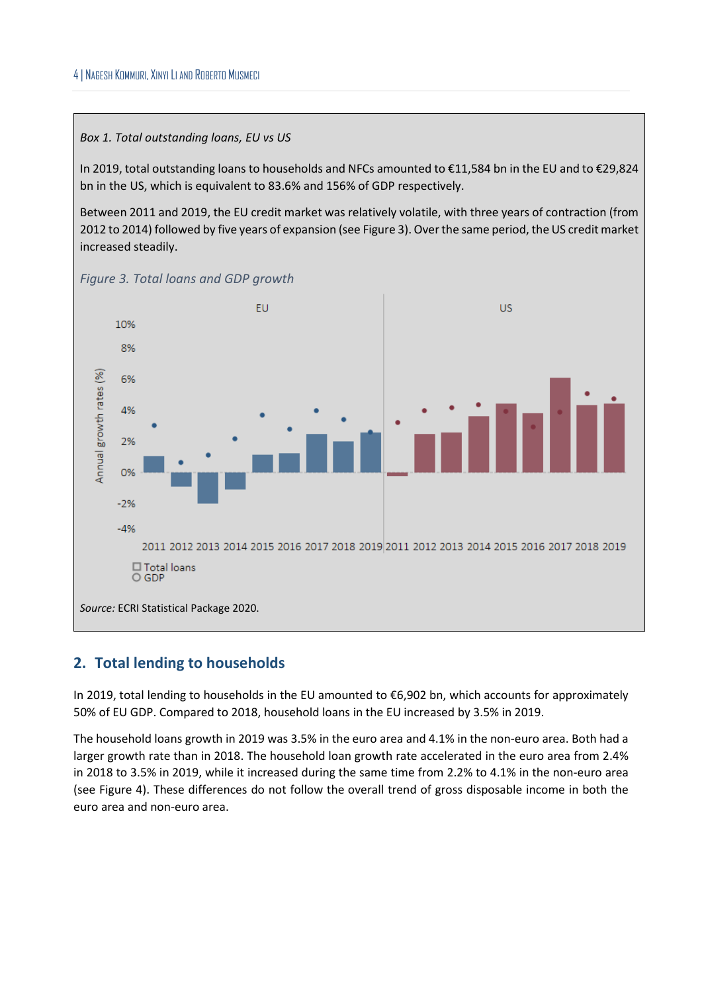#### *Box 1. Total outstanding loans, EU vs US*

In 2019, total outstanding loans to households and NFCs amounted to €11,584 bn in the EU and to €29,824 bn in the US, which is equivalent to 83.6% and 156% of GDP respectively.

Between 2011 and 2019, the EU credit market was relatively volatile, with three years of contraction (from 2012 to 2014) followed by five years of expansion (se[e Figure 3\)](#page-3-0). Over the same period, the US credit market increased steadily.



<span id="page-3-0"></span>*Figure 3. Total loans and GDP growth*

## **2. Total lending to households**

In 2019, total lending to households in the EU amounted to €6,902 bn, which accounts for approximately 50% of EU GDP. Compared to 2018, household loans in the EU increased by 3.5% in 2019.

The household loans growth in 2019 was 3.5% in the euro area and 4.1% in the non-euro area. Both had a larger growth rate than in 2018. The household loan growth rate accelerated in the euro area from 2.4% in 2018 to 3.5% in 2019, while it increased during the same time from 2.2% to 4.1% in the non-euro area (see [Figure 4\)](#page-4-0). These differences do not follow the overall trend of gross disposable income in both the euro area and non-euro area.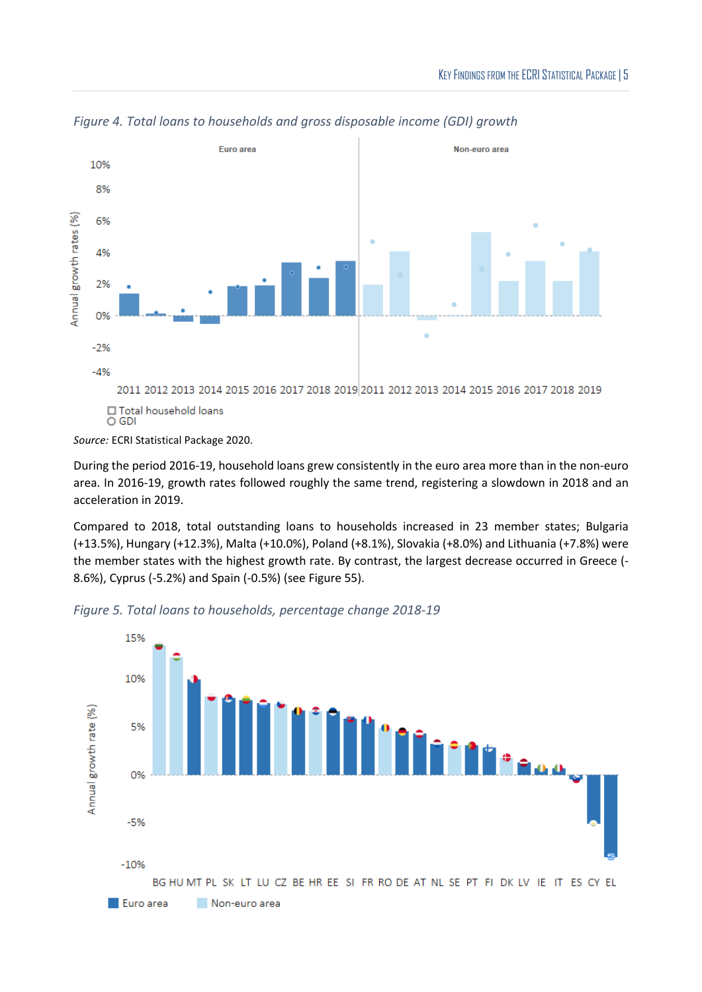

<span id="page-4-0"></span>*Figure 4. Total loans to households and gross disposable income (GDI) growth*

During the period 2016-19, household loans grew consistently in the euro area more than in the non-euro area. In 2016-19, growth rates followed roughly the same trend, registering a slowdown in 2018 and an acceleration in 2019.

Compared to 2018, total outstanding loans to households increased in 23 member states; Bulgaria (+13.5%), Hungary (+12.3%), Malta (+10.0%), Poland (+8.1%), Slovakia (+8.0%) and Lithuania (+7.8%) were the member states with the highest growth rate. By contrast, the largest decrease occurred in Greece (- 8.6%), Cyprus (-5.2%) and Spain (-0.5%) (se[e Figure 55](#page-4-1)).



<span id="page-4-1"></span>*Figure 5. Total loans to households, percentage change 2018-19*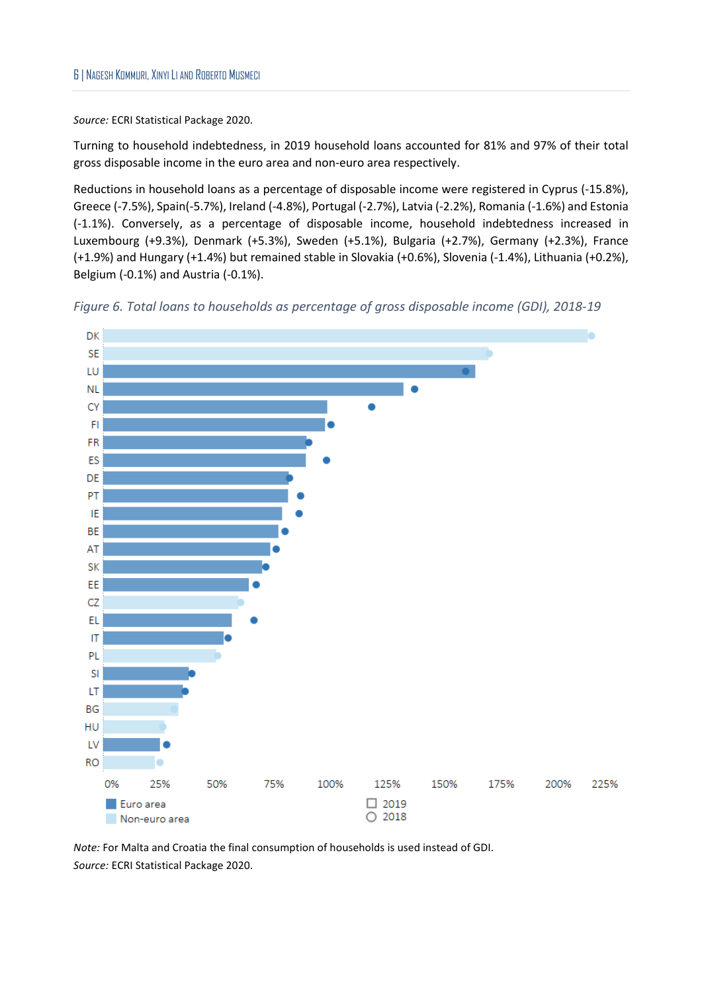Turning to household indebtedness, in 2019 household loans accounted for 81% and 97% of their total gross disposable income in the euro area and non-euro area respectively.

Reductions in household loans as a percentage of disposable income were registered in Cyprus (-15.8%), Greece (-7.5%), Spain(-5.7%), Ireland (-4.8%), Portugal (-2.7%), Latvia (-2.2%), Romania (-1.6%) and Estonia (-1.1%). Conversely, as a percentage of disposable income, household indebtedness increased in Luxembourg (+9.3%), Denmark (+5.3%), Sweden (+5.1%), Bulgaria (+2.7%), Germany (+2.3%), France (+1.9%) and Hungary (+1.4%) but remained stable in Slovakia (+0.6%), Slovenia (-1.4%), Lithuania (+0.2%), Belgium (-0.1%) and Austria (-0.1%).





*Note:* For Malta and Croatia the final consumption of households is used instead of GDI. *Source:* ECRI Statistical Package 2020.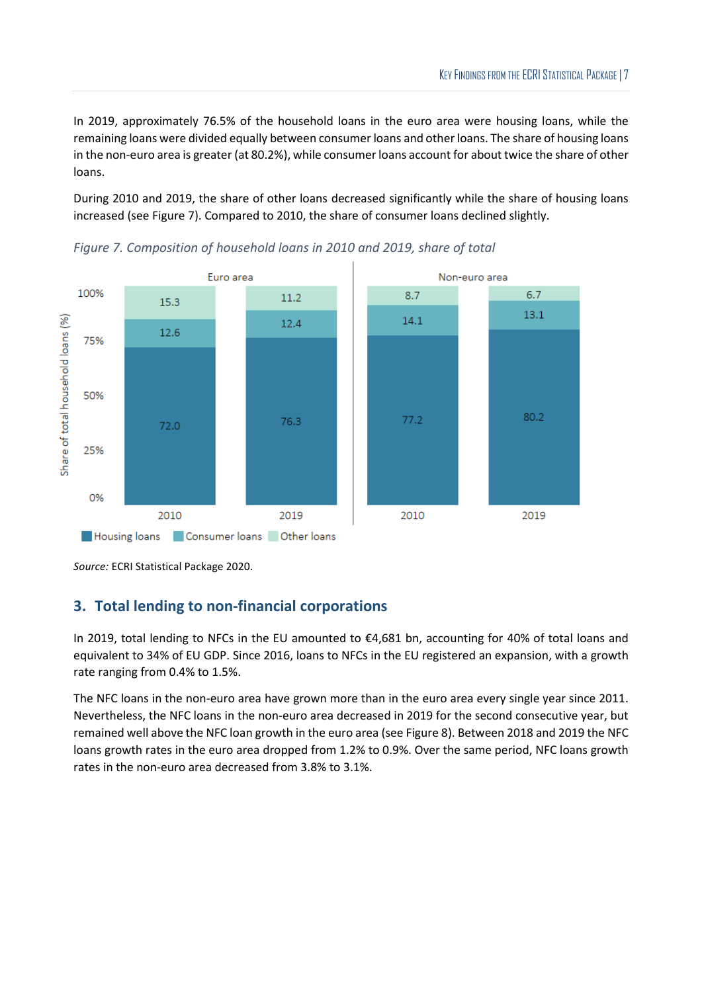In 2019, approximately 76.5% of the household loans in the euro area were housing loans, while the remaining loans were divided equally between consumer loans and other loans. The share of housing loans in the non-euro area is greater (at 80.2%), while consumer loans account for about twice the share of other loans.

During 2010 and 2019, the share of other loans decreased significantly while the share of housing loans increased (see [Figure 7\)](#page-6-0). Compared to 2010, the share of consumer loans declined slightly.



<span id="page-6-0"></span>

*Source:* ECRI Statistical Package 2020.

## **3. Total lending to non-financial corporations**

In 2019, total lending to NFCs in the EU amounted to €4,681 bn, accounting for 40% of total loans and equivalent to 34% of EU GDP. Since 2016, loans to NFCs in the EU registered an expansion, with a growth rate ranging from 0.4% to 1.5%.

The NFC loans in the non-euro area have grown more than in the euro area every single year since 2011. Nevertheless, the NFC loans in the non-euro area decreased in 2019 for the second consecutive year, but remained well above the NFC loan growth in the euro area (se[e Figure 8\)](#page-7-0). Between 2018 and 2019 the NFC loans growth rates in the euro area dropped from 1.2% to 0.9%. Over the same period, NFC loans growth rates in the non-euro area decreased from 3.8% to 3.1%.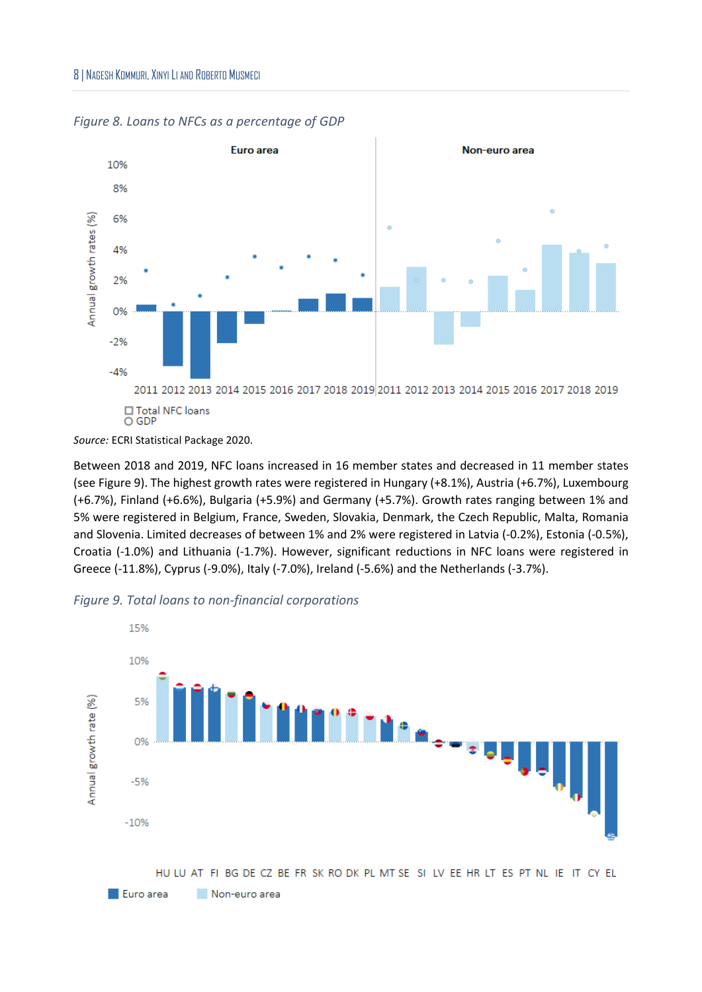

<span id="page-7-0"></span>

Between 2018 and 2019, NFC loans increased in 16 member states and decreased in 11 member states (see [Figure 9\)](#page-7-1). The highest growth rates were registered in Hungary (+8.1%), Austria (+6.7%), Luxembourg (+6.7%), Finland (+6.6%), Bulgaria (+5.9%) and Germany (+5.7%). Growth rates ranging between 1% and 5% were registered in Belgium, France, Sweden, Slovakia, Denmark, the Czech Republic, Malta, Romania and Slovenia. Limited decreases of between 1% and 2% were registered in Latvia (-0.2%), Estonia (-0.5%), Croatia (-1.0%) and Lithuania (-1.7%). However, significant reductions in NFC loans were registered in Greece (-11.8%), Cyprus (-9.0%), Italy (-7.0%), Ireland (-5.6%) and the Netherlands (-3.7%).



<span id="page-7-1"></span>*Figure 9. Total loans to non-financial corporations*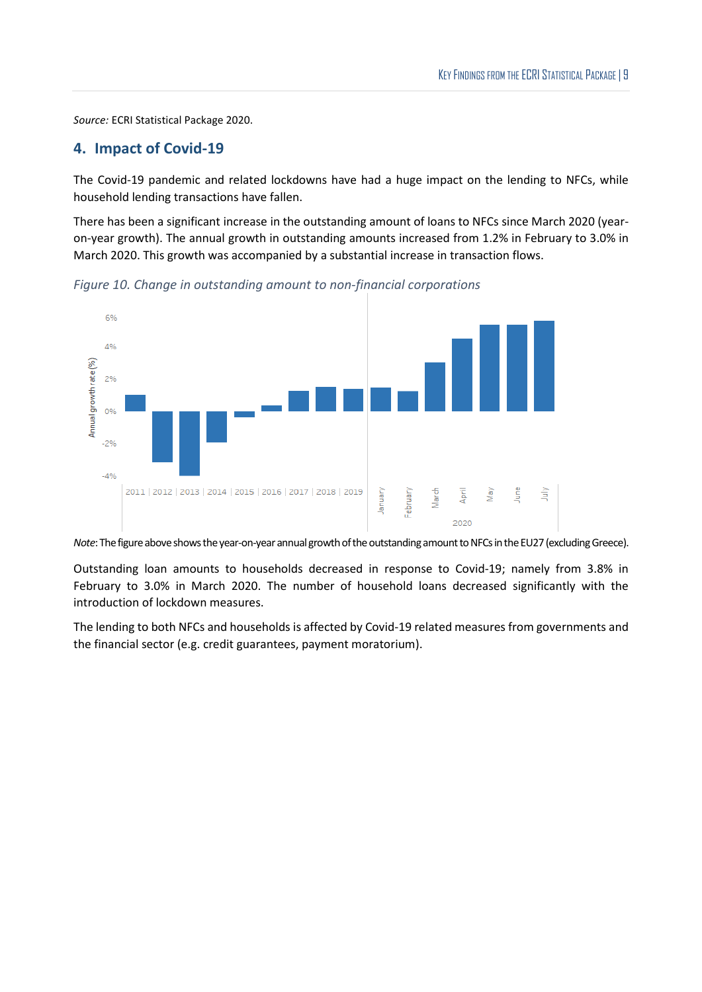#### **4. Impact of Covid-19**

The Covid-19 pandemic and related lockdowns have had a huge impact on the lending to NFCs, while household lending transactions have fallen.

There has been a significant increase in the outstanding amount of loans to NFCs since March 2020 (yearon-year growth). The annual growth in outstanding amounts increased from 1.2% in February to 3.0% in March 2020. This growth was accompanied by a substantial increase in transaction flows.

*Figure 10. Change in outstanding amount to non-financial corporations*



*Note*: The figure above shows the year-on-year annual growth of the outstanding amount to NFCs in the EU27 (excluding Greece).

Outstanding loan amounts to households decreased in response to Covid-19; namely from 3.8% in February to 3.0% in March 2020. The number of household loans decreased significantly with the introduction of lockdown measures.

The lending to both NFCs and households is affected by Covid-19 related measures from governments and the financial sector (e.g. credit guarantees, payment moratorium).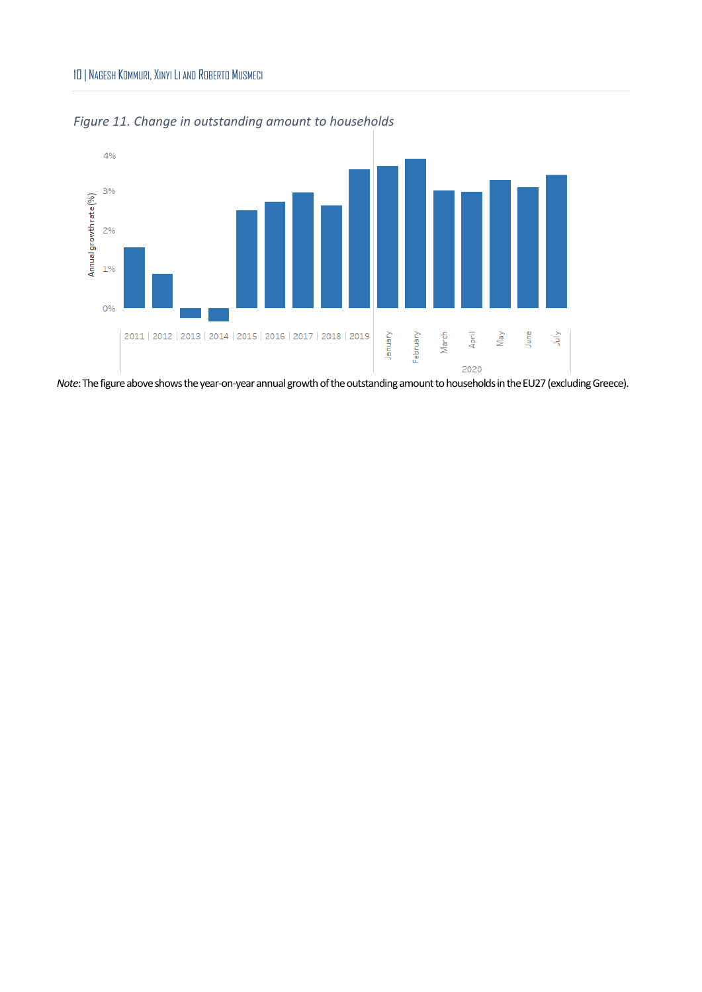#### 10 | NAGESH KOMMURI, XINYI LI AND ROBERTO MUSMECI



*Figure 11. Change in outstanding amount to households*

*Note*: The figure above shows the year-on-year annual growth of the outstanding amount to households in the EU27 (excluding Greece).